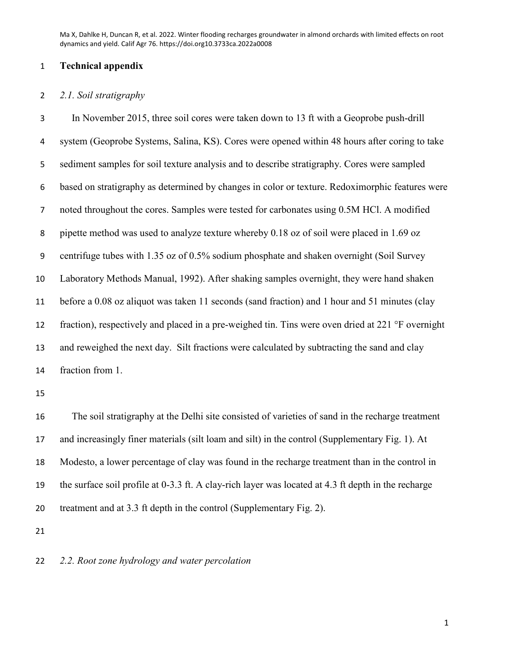### **Technical appendix**

### *2.1. Soil stratigraphy*

 In November 2015, three soil cores were taken down to 13 ft with a Geoprobe push-drill system (Geoprobe Systems, Salina, KS). Cores were opened within 48 hours after coring to take sediment samples for soil texture analysis and to describe stratigraphy. Cores were sampled based on stratigraphy as determined by changes in color or texture. Redoximorphic features were noted throughout the cores. Samples were tested for carbonates using 0.5M HCl. A modified pipette method was used to analyze texture whereby 0.18 oz of soil were placed in 1.69 oz centrifuge tubes with 1.35 oz of 0.5% sodium phosphate and shaken overnight (Soil Survey Laboratory Methods Manual, 1992). After shaking samples overnight, they were hand shaken before a 0.08 oz aliquot was taken 11 seconds (sand fraction) and 1 hour and 51 minutes (clay 12 fraction), respectively and placed in a pre-weighed tin. Tins were oven dried at 221 °F overnight and reweighed the next day. Silt fractions were calculated by subtracting the sand and clay fraction from 1.

 The soil stratigraphy at the Delhi site consisted of varieties of sand in the recharge treatment and increasingly finer materials (silt loam and silt) in the control (Supplementary Fig. 1). At Modesto, a lower percentage of clay was found in the recharge treatment than in the control in the surface soil profile at 0-3.3 ft. A clay-rich layer was located at 4.3 ft depth in the recharge treatment and at 3.3 ft depth in the control (Supplementary Fig. 2).

*2.2. Root zone hydrology and water percolation*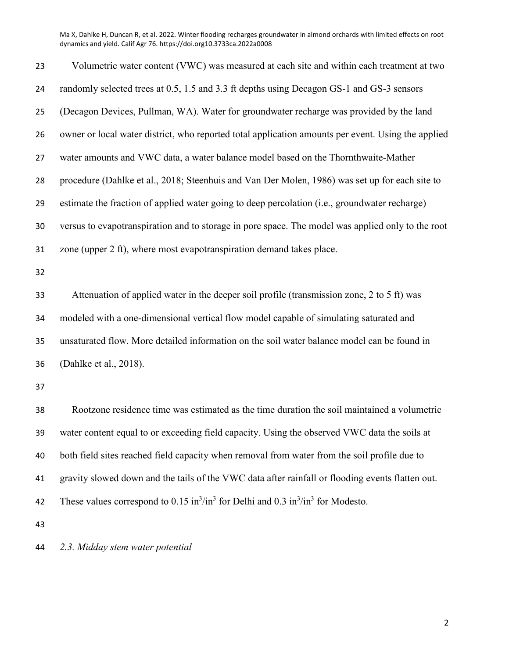| 23 | Volumetric water content (VWC) was measured at each site and within each treatment at two                            |
|----|----------------------------------------------------------------------------------------------------------------------|
| 24 | randomly selected trees at 0.5, 1.5 and 3.3 ft depths using Decagon GS-1 and GS-3 sensors                            |
| 25 | (Decagon Devices, Pullman, WA). Water for groundwater recharge was provided by the land                              |
| 26 | owner or local water district, who reported total application amounts per event. Using the applied                   |
| 27 | water amounts and VWC data, a water balance model based on the Thornthwaite-Mather                                   |
| 28 | procedure (Dahlke et al., 2018; Steenhuis and Van Der Molen, 1986) was set up for each site to                       |
| 29 | estimate the fraction of applied water going to deep percolation (i.e., groundwater recharge)                        |
| 30 | versus to evapotranspiration and to storage in pore space. The model was applied only to the root                    |
| 31 | zone (upper 2 ft), where most evapotranspiration demand takes place.                                                 |
| 32 |                                                                                                                      |
| 33 | Attenuation of applied water in the deeper soil profile (transmission zone, 2 to 5 ft) was                           |
| 34 | modeled with a one-dimensional vertical flow model capable of simulating saturated and                               |
| 35 | unsaturated flow. More detailed information on the soil water balance model can be found in                          |
| 36 | (Dahlke et al., 2018).                                                                                               |
| 37 |                                                                                                                      |
| 38 | Rootzone residence time was estimated as the time duration the soil maintained a volumetric                          |
| 39 | water content equal to or exceeding field capacity. Using the observed VWC data the soils at                         |
| 40 | both field sites reached field capacity when removal from water from the soil profile due to                         |
| 41 | gravity slowed down and the tails of the VWC data after rainfall or flooding events flatten out.                     |
| 42 | These values correspond to $0.15 \text{ in}^3/\text{in}^3$ for Delhi and $0.3 \text{ in}^3/\text{in}^3$ for Modesto. |
| 43 |                                                                                                                      |
|    |                                                                                                                      |

*2.3. Midday stem water potential*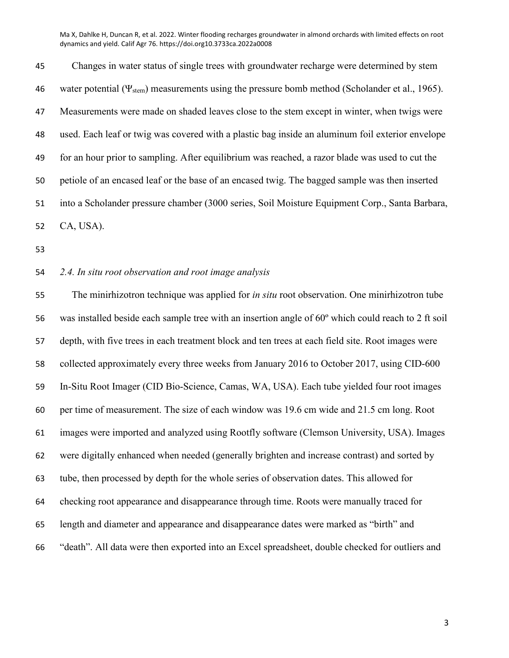Changes in water status of single trees with groundwater recharge were determined by stem 46 water potential ( $\Psi_{\text{stem}}$ ) measurements using the pressure bomb method (Scholander et al., 1965). Measurements were made on shaded leaves close to the stem except in winter, when twigs were used. Each leaf or twig was covered with a plastic bag inside an aluminum foil exterior envelope for an hour prior to sampling. After equilibrium was reached, a razor blade was used to cut the petiole of an encased leaf or the base of an encased twig. The bagged sample was then inserted into a Scholander pressure chamber (3000 series, Soil Moisture Equipment Corp., Santa Barbara, CA, USA).

### *2.4. In situ root observation and root image analysis*

 The minirhizotron technique was applied for *in situ* root observation. One minirhizotron tube was installed beside each sample tree with an insertion angle of 60º which could reach to 2 ft soil depth, with five trees in each treatment block and ten trees at each field site. Root images were collected approximately every three weeks from January 2016 to October 2017, using CID-600 In-Situ Root Imager (CID Bio-Science, Camas, WA, USA). Each tube yielded four root images per time of measurement. The size of each window was 19.6 cm wide and 21.5 cm long. Root images were imported and analyzed using Rootfly software (Clemson University, USA). Images were digitally enhanced when needed (generally brighten and increase contrast) and sorted by tube, then processed by depth for the whole series of observation dates. This allowed for checking root appearance and disappearance through time. Roots were manually traced for length and diameter and appearance and disappearance dates were marked as "birth" and "death". All data were then exported into an Excel spreadsheet, double checked for outliers and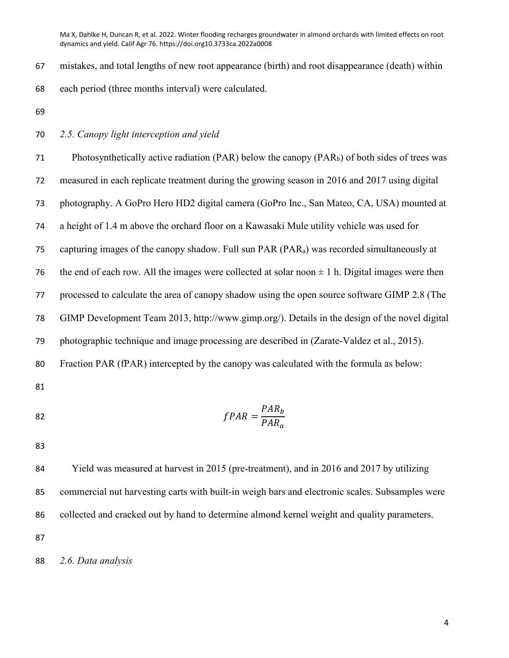mistakes, and total lengths of new root appearance (birth) and root disappearance (death) within each period (three months interval) were calculated.

#### *2.5. Canopy light interception and yield*

 Photosynthetically active radiation (PAR) below the canopy (PARb) of both sides of trees was measured in each replicate treatment during the growing season in 2016 and 2017 using digital photography. A GoPro Hero HD2 digital camera (GoPro Inc., San Mateo, CA, USA) mounted at a height of 1.4 m above the orchard floor on a Kawasaki Mule utility vehicle was used for capturing images of the canopy shadow. Full sun PAR (PARa) was recorded simultaneously at 76 the end of each row. All the images were collected at solar noon  $\pm$  1 h. Digital images were then processed to calculate the area of canopy shadow using the open source software GIMP 2.8 (The GIMP Development Team 2013, http://www.gimp.org/). Details in the design of the novel digital photographic technique and image processing are described in (Zarate-Valdez et al., 2015). Fraction PAR (fPAR) intercepted by the canopy was calculated with the formula as below: 

$$
fPAR = \frac{PAR_b}{PAR_a}
$$

 Yield was measured at harvest in 2015 (pre-treatment), and in 2016 and 2017 by utilizing commercial nut harvesting carts with built-in weigh bars and electronic scales. Subsamples were collected and cracked out by hand to determine almond kernel weight and quality parameters. 

*2.6. Data analysis*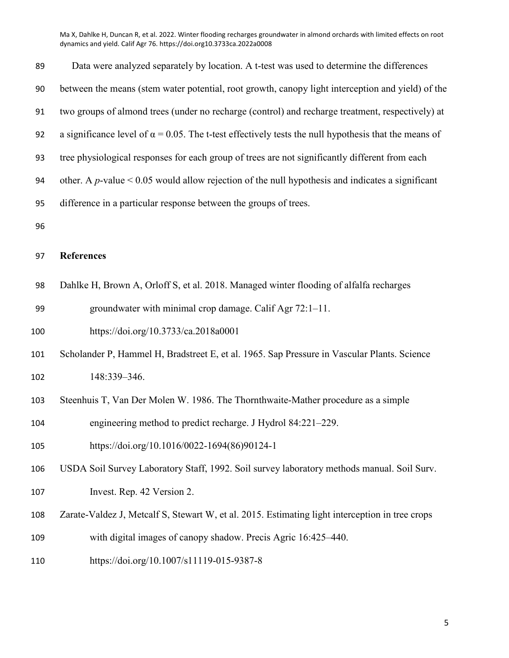| 89  | Data were analyzed separately by location. A t-test was used to determine the differences                    |
|-----|--------------------------------------------------------------------------------------------------------------|
| 90  | between the means (stem water potential, root growth, canopy light interception and yield) of the            |
| 91  | two groups of almond trees (under no recharge (control) and recharge treatment, respectively) at             |
| 92  | a significance level of $\alpha = 0.05$ . The t-test effectively tests the null hypothesis that the means of |
| 93  | tree physiological responses for each group of trees are not significantly different from each               |
| 94  | other. A p-value $\leq 0.05$ would allow rejection of the null hypothesis and indicates a significant        |
| 95  | difference in a particular response between the groups of trees.                                             |
| 96  |                                                                                                              |
| 97  | <b>References</b>                                                                                            |
| 98  | Dahlke H, Brown A, Orloff S, et al. 2018. Managed winter flooding of alfalfa recharges                       |
| 99  | groundwater with minimal crop damage. Calif Agr 72:1-11.                                                     |
| 100 | https://doi.org/10.3733/ca.2018a0001                                                                         |
| 101 | Scholander P, Hammel H, Bradstreet E, et al. 1965. Sap Pressure in Vascular Plants. Science                  |
| 102 | 148:339-346.                                                                                                 |
| 103 | Steenhuis T, Van Der Molen W. 1986. The Thornthwaite-Mather procedure as a simple                            |
| 104 | engineering method to predict recharge. J Hydrol 84:221–229.                                                 |
| 105 | https://doi.org/10.1016/0022-1694(86)90124-1                                                                 |
| 106 | USDA Soil Survey Laboratory Staff, 1992. Soil survey laboratory methods manual. Soil Surv.                   |
| 107 | Invest. Rep. 42 Version 2.                                                                                   |
| 108 | Zarate-Valdez J, Metcalf S, Stewart W, et al. 2015. Estimating light interception in tree crops              |
| 109 | with digital images of canopy shadow. Precis Agric 16:425-440.                                               |
| 110 | https://doi.org/10.1007/s11119-015-9387-8                                                                    |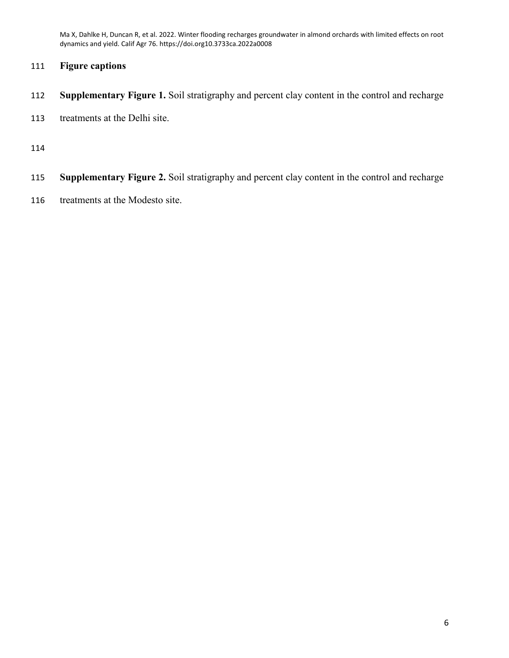## **Figure captions**

- **Supplementary Figure 1.** Soil stratigraphy and percent clay content in the control and recharge
- treatments at the Delhi site.

- **Supplementary Figure 2.** Soil stratigraphy and percent clay content in the control and recharge
- treatments at the Modesto site.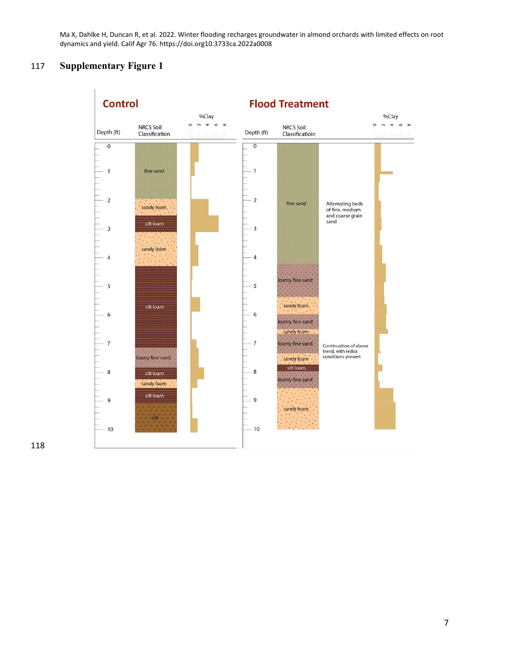# 117 **Supplementary Figure 1**